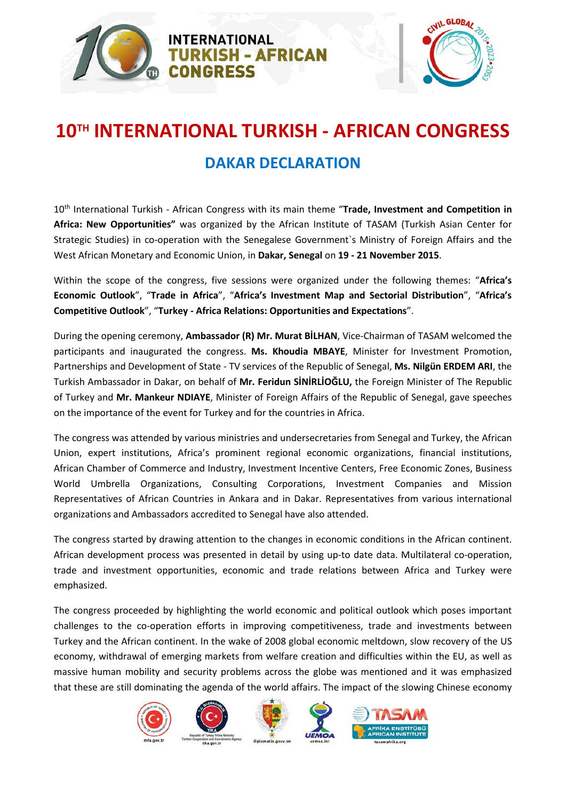



## **10TH INTERNATIONAL TURKISH - AFRICAN CONGRESS**

### **DAKAR DECLARATION**

10th International Turkish - African Congress with its main theme "**Trade, Investment and Competition in Africa: New Opportunities"** was organized by the African Institute of TASAM (Turkish Asian Center for Strategic Studies) in co-operation with the Senegalese Government`s Ministry of Foreign Affairs and the West African Monetary and Economic Union, in **Dakar, Senegal** on **19 - 21 November 2015**.

Within the scope of the congress, five sessions were organized under the following themes: "**Africa's Economic Outlook**", "**Trade in Africa**", "**Africa's Investment Map and Sectorial Distribution**", "**Africa's Competitive Outlook**", "**Turkey - Africa Relations: Opportunities and Expectations**".

During the opening ceremony, **Ambassador (R) Mr. Murat BİLHAN**, Vice-Chairman of TASAM welcomed the participants and inaugurated the congress. **Ms. Khoudia MBAYE**, Minister for Investment Promotion, Partnerships and Development of State - TV services of the Republic of Senegal, **Ms. Nilgün ERDEM ARI**, the Turkish Ambassador in Dakar, on behalf of **Mr. Feridun SİNİRLİOĞLU,** the Foreign Minister of The Republic of Turkey and **Mr. Mankeur NDIAYE**, Minister of Foreign Affairs of the Republic of Senegal, gave speeches on the importance of the event for Turkey and for the countries in Africa.

The congress was attended by various ministries and undersecretaries from Senegal and Turkey, the African Union, expert institutions, Africa's prominent regional economic organizations, financial institutions, African Chamber of Commerce and Industry, Investment Incentive Centers, Free Economic Zones, Business World Umbrella Organizations, Consulting Corporations, Investment Companies and Mission Representatives of African Countries in Ankara and in Dakar. Representatives from various international organizations and Ambassadors accredited to Senegal have also attended.

The congress started by drawing attention to the changes in economic conditions in the African continent. African development process was presented in detail by using up-to date data. Multilateral co-operation, trade and investment opportunities, economic and trade relations between Africa and Turkey were emphasized.

The congress proceeded by highlighting the world economic and political outlook which poses important challenges to the co-operation efforts in improving competitiveness, trade and investments between Turkey and the African continent. In the wake of 2008 global economic meltdown, slow recovery of the US economy, withdrawal of emerging markets from welfare creation and difficulties within the EU, as well as massive human mobility and security problems across the globe was mentioned and it was emphasized that these are still dominating the agenda of the world affairs. The impact of the slowing Chinese economy

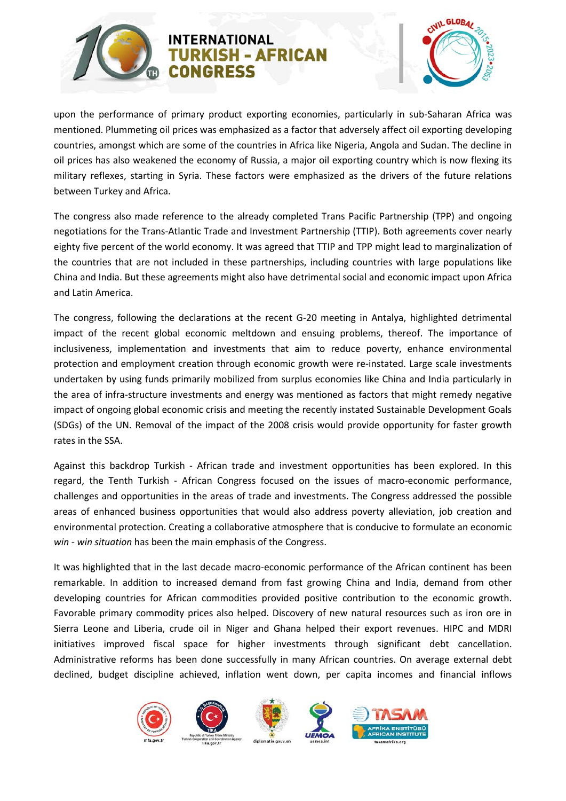

#### **INTERNATIONAL RKISH - AFRICAN CONGRESS**



upon the performance of primary product exporting economies, particularly in sub-Saharan Africa was mentioned. Plummeting oil prices was emphasized as a factor that adversely affect oil exporting developing countries, amongst which are some of the countries in Africa like Nigeria, Angola and Sudan. The decline in oil prices has also weakened the economy of Russia, a major oil exporting country which is now flexing its military reflexes, starting in Syria. These factors were emphasized as the drivers of the future relations between Turkey and Africa.

The congress also made reference to the already completed Trans Pacific Partnership (TPP) and ongoing negotiations for the Trans-Atlantic Trade and Investment Partnership (TTIP). Both agreements cover nearly eighty five percent of the world economy. It was agreed that TTIP and TPP might lead to marginalization of the countries that are not included in these partnerships, including countries with large populations like China and India. But these agreements might also have detrimental social and economic impact upon Africa and Latin America.

The congress, following the declarations at the recent G-20 meeting in Antalya, highlighted detrimental impact of the recent global economic meltdown and ensuing problems, thereof. The importance of inclusiveness, implementation and investments that aim to reduce poverty, enhance environmental protection and employment creation through economic growth were re-instated. Large scale investments undertaken by using funds primarily mobilized from surplus economies like China and India particularly in the area of infra-structure investments and energy was mentioned as factors that might remedy negative impact of ongoing global economic crisis and meeting the recently instated Sustainable Development Goals (SDGs) of the UN. Removal of the impact of the 2008 crisis would provide opportunity for faster growth rates in the SSA.

Against this backdrop Turkish - African trade and investment opportunities has been explored. In this regard, the Tenth Turkish - African Congress focused on the issues of macro-economic performance, challenges and opportunities in the areas of trade and investments. The Congress addressed the possible areas of enhanced business opportunities that would also address poverty alleviation, job creation and environmental protection. Creating a collaborative atmosphere that is conducive to formulate an economic *win - win situation* has been the main emphasis of the Congress.

It was highlighted that in the last decade macro-economic performance of the African continent has been remarkable. In addition to increased demand from fast growing China and India, demand from other developing countries for African commodities provided positive contribution to the economic growth. Favorable primary commodity prices also helped. Discovery of new natural resources such as iron ore in Sierra Leone and Liberia, crude oil in Niger and Ghana helped their export revenues. HIPC and MDRI initiatives improved fiscal space for higher investments through significant debt cancellation. Administrative reforms has been done successfully in many African countries. On average external debt declined, budget discipline achieved, inflation went down, per capita incomes and financial inflows

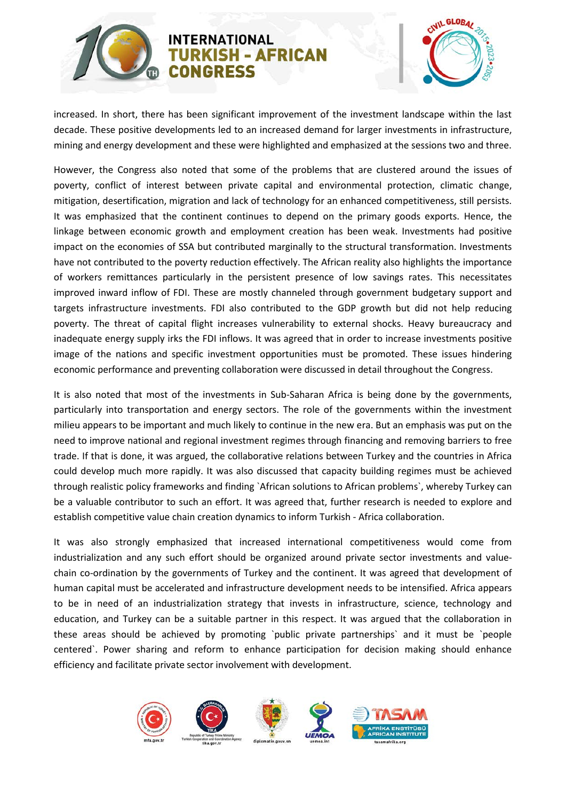

# CIVIL GLOBAL

increased. In short, there has been significant improvement of the investment landscape within the last decade. These positive developments led to an increased demand for larger investments in infrastructure, mining and energy development and these were highlighted and emphasized at the sessions two and three.

**RKISH - AFRICAN** 

However, the Congress also noted that some of the problems that are clustered around the issues of poverty, conflict of interest between private capital and environmental protection, climatic change, mitigation, desertification, migration and lack of technology for an enhanced competitiveness, still persists. It was emphasized that the continent continues to depend on the primary goods exports. Hence, the linkage between economic growth and employment creation has been weak. Investments had positive impact on the economies of SSA but contributed marginally to the structural transformation. Investments have not contributed to the poverty reduction effectively. The African reality also highlights the importance of workers remittances particularly in the persistent presence of low savings rates. This necessitates improved inward inflow of FDI. These are mostly channeled through government budgetary support and targets infrastructure investments. FDI also contributed to the GDP growth but did not help reducing poverty. The threat of capital flight increases vulnerability to external shocks. Heavy bureaucracy and inadequate energy supply irks the FDI inflows. It was agreed that in order to increase investments positive image of the nations and specific investment opportunities must be promoted. These issues hindering economic performance and preventing collaboration were discussed in detail throughout the Congress.

It is also noted that most of the investments in Sub-Saharan Africa is being done by the governments, particularly into transportation and energy sectors. The role of the governments within the investment milieu appears to be important and much likely to continue in the new era. But an emphasis was put on the need to improve national and regional investment regimes through financing and removing barriers to free trade. If that is done, it was argued, the collaborative relations between Turkey and the countries in Africa could develop much more rapidly. It was also discussed that capacity building regimes must be achieved through realistic policy frameworks and finding `African solutions to African problems`, whereby Turkey can be a valuable contributor to such an effort. It was agreed that, further research is needed to explore and establish competitive value chain creation dynamics to inform Turkish - Africa collaboration.

It was also strongly emphasized that increased international competitiveness would come from industrialization and any such effort should be organized around private sector investments and valuechain co-ordination by the governments of Turkey and the continent. It was agreed that development of human capital must be accelerated and infrastructure development needs to be intensified. Africa appears to be in need of an industrialization strategy that invests in infrastructure, science, technology and education, and Turkey can be a suitable partner in this respect. It was argued that the collaboration in these areas should be achieved by promoting `public private partnerships` and it must be `people centered`. Power sharing and reform to enhance participation for decision making should enhance efficiency and facilitate private sector involvement with development.